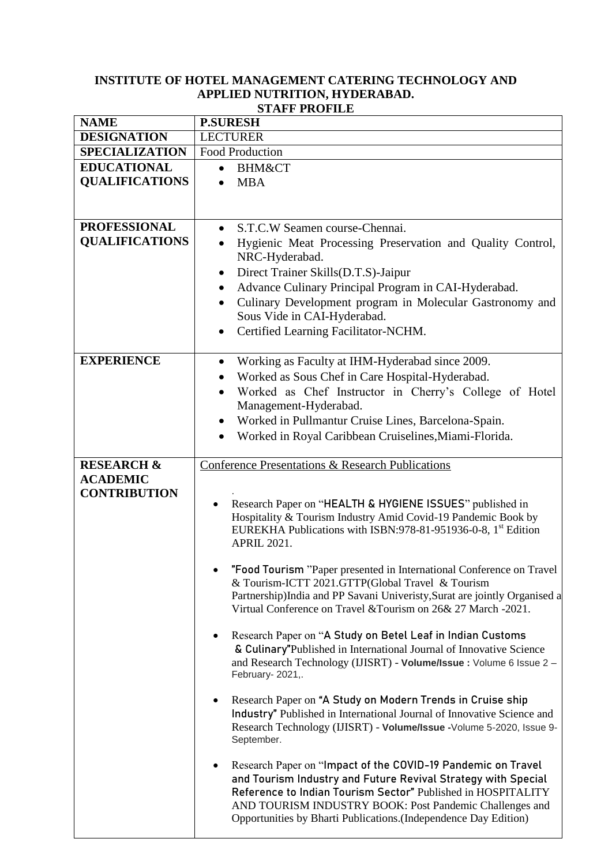## **INSTITUTE OF HOTEL MANAGEMENT CATERING TECHNOLOGY AND APPLIED NUTRITION, HYDERABAD. STAFF PROFILE**

| <b>NAME</b>           | <b>P.SURESH</b>                                                                                                               |
|-----------------------|-------------------------------------------------------------------------------------------------------------------------------|
| <b>DESIGNATION</b>    | <b>LECTURER</b>                                                                                                               |
| <b>SPECIALIZATION</b> | <b>Food Production</b>                                                                                                        |
| <b>EDUCATIONAL</b>    | <b>BHM&amp;CT</b><br>$\bullet$                                                                                                |
| <b>QUALIFICATIONS</b> | <b>MBA</b>                                                                                                                    |
|                       |                                                                                                                               |
| <b>PROFESSIONAL</b>   | S.T.C.W Seamen course-Chennai.<br>$\bullet$                                                                                   |
| <b>QUALIFICATIONS</b> | Hygienic Meat Processing Preservation and Quality Control,<br>$\bullet$                                                       |
|                       | NRC-Hyderabad.                                                                                                                |
|                       | Direct Trainer Skills(D.T.S)-Jaipur<br>$\bullet$                                                                              |
|                       | Advance Culinary Principal Program in CAI-Hyderabad.<br>$\bullet$                                                             |
|                       | Culinary Development program in Molecular Gastronomy and<br>$\bullet$                                                         |
|                       | Sous Vide in CAI-Hyderabad.                                                                                                   |
|                       | Certified Learning Facilitator-NCHM.                                                                                          |
|                       |                                                                                                                               |
| <b>EXPERIENCE</b>     | Working as Faculty at IHM-Hyderabad since 2009.<br>$\bullet$                                                                  |
|                       | Worked as Sous Chef in Care Hospital-Hyderabad.                                                                               |
|                       | Worked as Chef Instructor in Cherry's College of Hotel                                                                        |
|                       | Management-Hyderabad.                                                                                                         |
|                       | Worked in Pullmantur Cruise Lines, Barcelona-Spain.<br>$\bullet$                                                              |
|                       | Worked in Royal Caribbean Cruiselines, Miami-Florida.                                                                         |
|                       |                                                                                                                               |
| <b>RESEARCH &amp;</b> | Conference Presentations & Research Publications                                                                              |
| <b>ACADEMIC</b>       |                                                                                                                               |
| <b>CONTRIBUTION</b>   | Research Paper on "HEALTH & HYGIENE ISSUES" published in                                                                      |
|                       | Hospitality & Tourism Industry Amid Covid-19 Pandemic Book by                                                                 |
|                       | EUREKHA Publications with ISBN:978-81-951936-0-8, 1 <sup>st</sup> Edition                                                     |
|                       | <b>APRIL 2021.</b>                                                                                                            |
|                       |                                                                                                                               |
|                       | "Food Tourism "Paper presented in International Conference on Travel                                                          |
|                       | & Tourism-ICTT 2021.GTTP(Global Travel & Tourism<br>Partnership)India and PP Savani Univeristy, Surat are jointly Organised a |
|                       | Virtual Conference on Travel & Tourism on 26& 27 March -2021.                                                                 |
|                       |                                                                                                                               |
|                       | Research Paper on "A Study on Betel Leaf in Indian Customs                                                                    |
|                       | & Culinary"Published in International Journal of Innovative Science                                                           |
|                       | and Research Technology (IJISRT) - Volume/Issue: Volume 6 Issue 2 -                                                           |
|                       | February-2021,.                                                                                                               |
|                       | Research Paper on "A Study on Modern Trends in Cruise ship                                                                    |
|                       | Industry" Published in International Journal of Innovative Science and                                                        |
|                       | Research Technology (IJISRT) - Volume/Issue -Volume 5-2020, Issue 9-                                                          |
|                       | September.                                                                                                                    |
|                       | Research Paper on "Impact of the COVID-19 Pandemic on Travel                                                                  |
|                       | and Tourism Industry and Future Revival Strategy with Special                                                                 |
|                       | Reference to Indian Tourism Sector" Published in HOSPITALITY                                                                  |
|                       | AND TOURISM INDUSTRY BOOK: Post Pandemic Challenges and                                                                       |
|                       | Opportunities by Bharti Publications. (Independence Day Edition)                                                              |
|                       |                                                                                                                               |